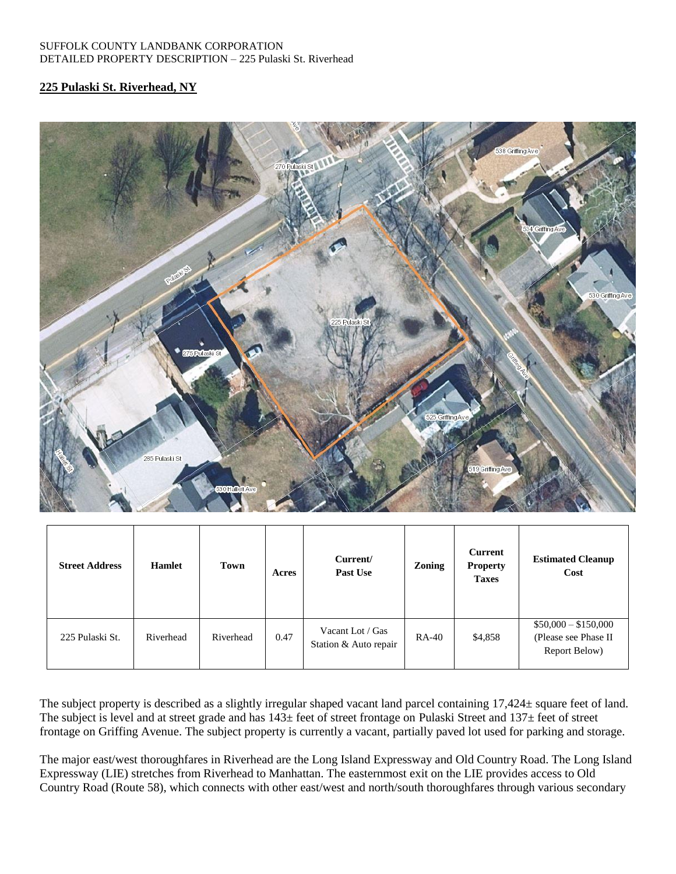#### SUFFOLK COUNTY LANDBANK CORPORATION DETAILED PROPERTY DESCRIPTION – 225 Pulaski St. Riverhead

### **225 Pulaski St. Riverhead, NY**



| <b>Street Address</b> | <b>Hamlet</b> | Town      | Acres | Current/<br>Past Use                      | Zoning | Current<br><b>Property</b><br><b>Taxes</b> | <b>Estimated Cleanup</b><br>Cost                              |
|-----------------------|---------------|-----------|-------|-------------------------------------------|--------|--------------------------------------------|---------------------------------------------------------------|
| 225 Pulaski St.       | Riverhead     | Riverhead | 0.47  | Vacant Lot / Gas<br>Station & Auto repair | RA-40  | \$4,858                                    | $$50,000 - $150,000$<br>(Please see Phase II<br>Report Below) |

The subject property is described as a slightly irregular shaped vacant land parcel containing 17,424± square feet of land. The subject is level and at street grade and has  $143\pm$  feet of street frontage on Pulaski Street and  $137\pm$  feet of street frontage on Griffing Avenue. The subject property is currently a vacant, partially paved lot used for parking and storage.

The major east/west thoroughfares in Riverhead are the Long Island Expressway and Old Country Road. The Long Island Expressway (LIE) stretches from Riverhead to Manhattan. The easternmost exit on the LIE provides access to Old Country Road (Route 58), which connects with other east/west and north/south thoroughfares through various secondary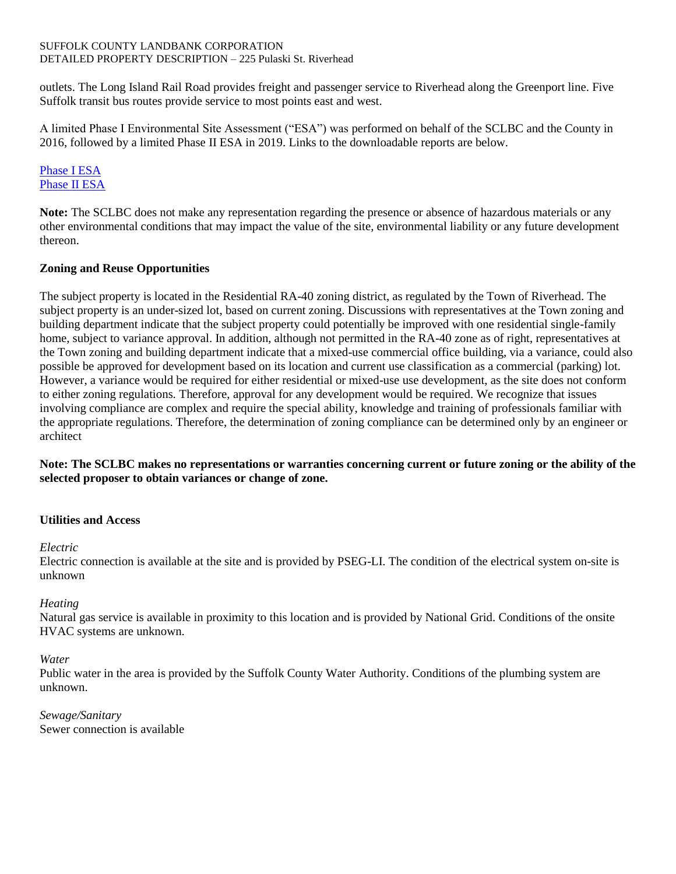#### SUFFOLK COUNTY LANDBANK CORPORATION DETAILED PROPERTY DESCRIPTION – 225 Pulaski St. Riverhead

outlets. The Long Island Rail Road provides freight and passenger service to Riverhead along the Greenport line. Five Suffolk transit bus routes provide service to most points east and west.

A limited Phase I Environmental Site Assessment ("ESA") was performed on behalf of the SCLBC and the County in 2016, followed by a limited Phase II ESA in 2019. Links to the downloadable reports are below.

# [Phase I ESA](https://www.dropbox.com/s/ddi900ulxy01lyk/Phase%201%20ESA%20225%20Pulaki%20Street%20Riverhead.pdf?dl=0) [Phase II ESA](https://www.dropbox.com/s/24ff8mffzasdjjb/Phase%20II%20ESA%20-%20225%20Pulaski%20Street%2C%20Riverhead%20-%20January%202019.pdf?dl=0)

**Note:** The SCLBC does not make any representation regarding the presence or absence of hazardous materials or any other environmental conditions that may impact the value of the site, environmental liability or any future development thereon.

## **Zoning and Reuse Opportunities**

The subject property is located in the Residential RA-40 zoning district, as regulated by the Town of Riverhead. The subject property is an under-sized lot, based on current zoning. Discussions with representatives at the Town zoning and building department indicate that the subject property could potentially be improved with one residential single-family home, subject to variance approval. In addition, although not permitted in the RA-40 zone as of right, representatives at the Town zoning and building department indicate that a mixed-use commercial office building, via a variance, could also possible be approved for development based on its location and current use classification as a commercial (parking) lot. However, a variance would be required for either residential or mixed-use use development, as the site does not conform to either zoning regulations. Therefore, approval for any development would be required. We recognize that issues involving compliance are complex and require the special ability, knowledge and training of professionals familiar with the appropriate regulations. Therefore, the determination of zoning compliance can be determined only by an engineer or architect

**Note: The SCLBC makes no representations or warranties concerning current or future zoning or the ability of the selected proposer to obtain variances or change of zone.**

## **Utilities and Access**

*Electric* 

Electric connection is available at the site and is provided by PSEG-LI. The condition of the electrical system on-site is unknown

## *Heating*

Natural gas service is available in proximity to this location and is provided by National Grid. Conditions of the onsite HVAC systems are unknown.

## *Water*

Public water in the area is provided by the Suffolk County Water Authority. Conditions of the plumbing system are unknown.

*Sewage/Sanitary* Sewer connection is available